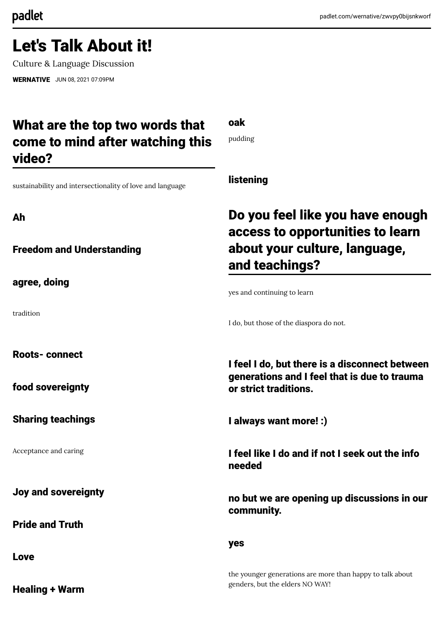# Let's Talk About it!

Culture & Language Discussion

[WERNATIVE](https://padlet.com/wernative) JUN 08, 2021 07:09PM

## What are the top two words that come to mind after watching this video?

oak

pudding

sustainability and intersectionality of love and language

Ah

Freedom and Understanding

agree, doing

tradition

Roots- connect

food sovereignty

Sharing teachings

Acceptance and caring

Joy and sovereignty

Pride and Truth

Love

Healing + Warm

## listening

## Do you feel like you have enough access to opportunities to learn about your culture, language, and teachings?

yes and continuing to learn

I do, but those of the diaspora do not.

I feel I do, but there is a disconnect between generations and I feel that is due to trauma or strict traditions.

I always want more! :)

I feel like I do and if not I seek out the info needed

no but we are opening up discussions in our community.

yes

the younger generations are more than happy to talk about genders, but the elders NO WAY!